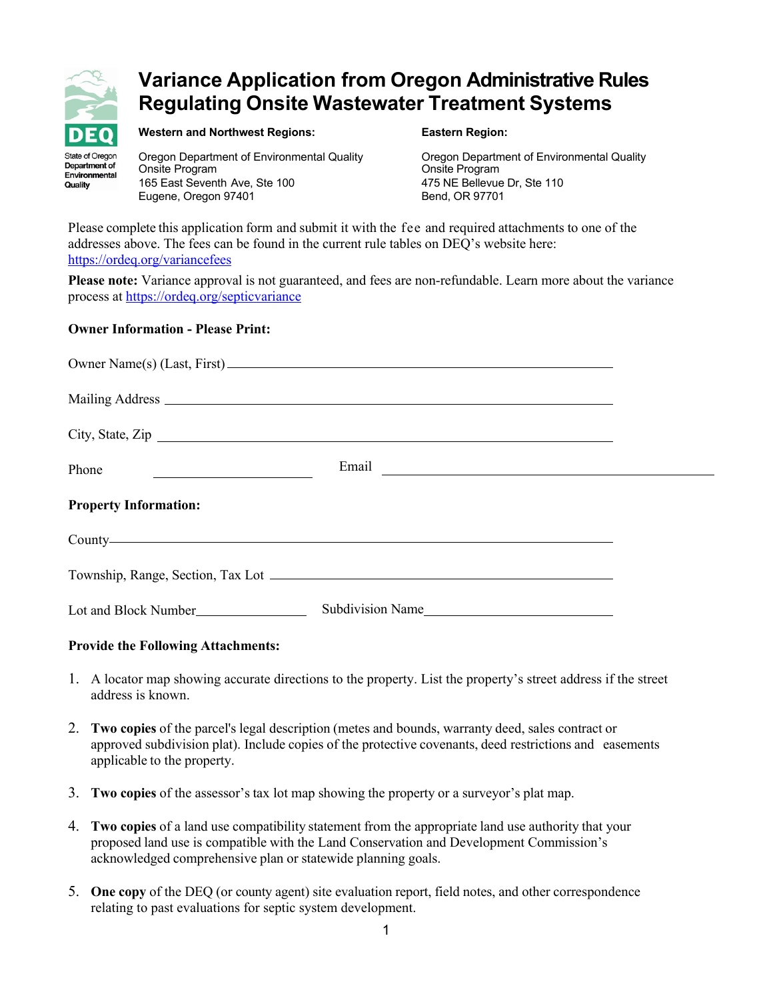

# **Variance Application from Oregon Administrative Rules Regulating Onsite Wastewater Treatment Systems**

State of Oregon Department of Environmental Quality

**Western and Northwest Regions: Eastern Region:**

Onsite Program Onsite Program 165 East Seventh Ave, Ste 100 Eugene, Oregon 97401 Bend, OR 97701

Oregon Department of Environmental Quality Oregon Department of Environmental Quality

Please complete this application form and submit it with the fee and required attachments to one of the addresses above. The fees can be found in the current rule tables on DEQ's website here: <https://ordeq.org/variancefees>

**Please note:** Variance approval is not guaranteed, and fees are non-refundable. Learn more about the variance process at<https://ordeq.org/septicvariance>

#### **Owner Information - Please Print:**

|                                                              | City, State, Zip |  |
|--------------------------------------------------------------|------------------|--|
| <u> 1980 - Andrea Station Barbara, amerikan per</u><br>Phone |                  |  |
| <b>Property Information:</b>                                 |                  |  |
|                                                              |                  |  |
|                                                              |                  |  |
|                                                              | Subdivision Name |  |

## **Provide the Following Attachments:**

- 1. A locator map showing accurate directions to the property. List the property's street address if the street address is known.
- 2. **Two copies** of the parcel's legal description (metes and bounds, warranty deed, sales contract or approved subdivision plat). Include copies of the protective covenants, deed restrictions and easements applicable to the property.
- 3. **Two copies** of the assessor's tax lot map showing the property or a surveyor's plat map.
- 4. **Two copies** of a land use compatibility statement from the appropriate land use authority that your proposed land use is compatible with the Land Conservation and Development Commission's acknowledged comprehensive plan or statewide planning goals.
- 5. **One copy** of the DEQ (or county agent) site evaluation report, field notes, and other correspondence relating to past evaluations for septic system development.